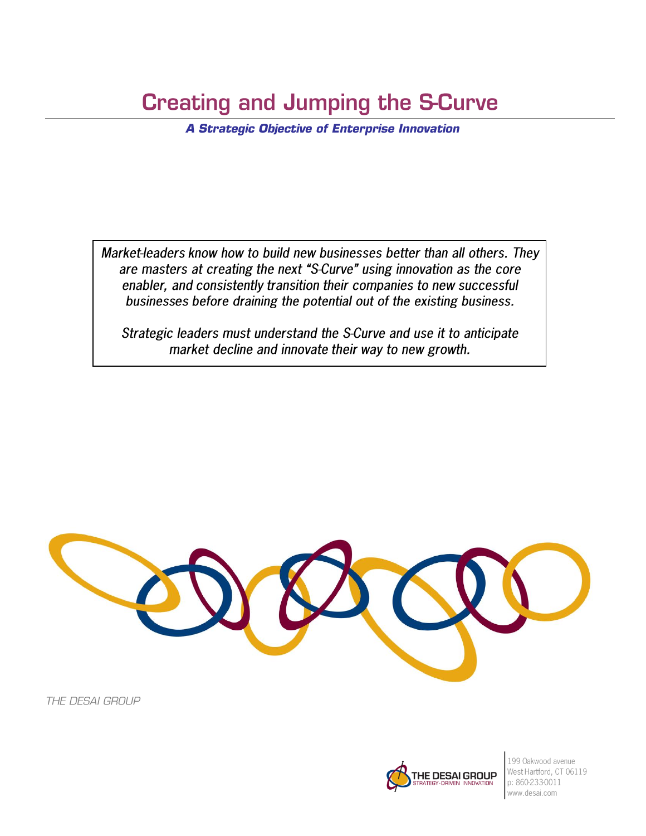# **Creating and Jumping the S-Curve**

**A Strategic Objective of Enterprise Innovation** 

Market-leaders know how to build new businesses better than all others. They are masters at creating the next "S-Curve" using innovation as the core enabler, and consistently transition their companies to new successful businesses before draining the potential out of the existing business.

Strategic leaders must understand the S-Curve and use it to anticipate market decline and innovate their way to new growth.



THE DESAI GROUP



199 Oakwood avenue West Hartford, CT 06119 p: 860-233-0011 www.desai.com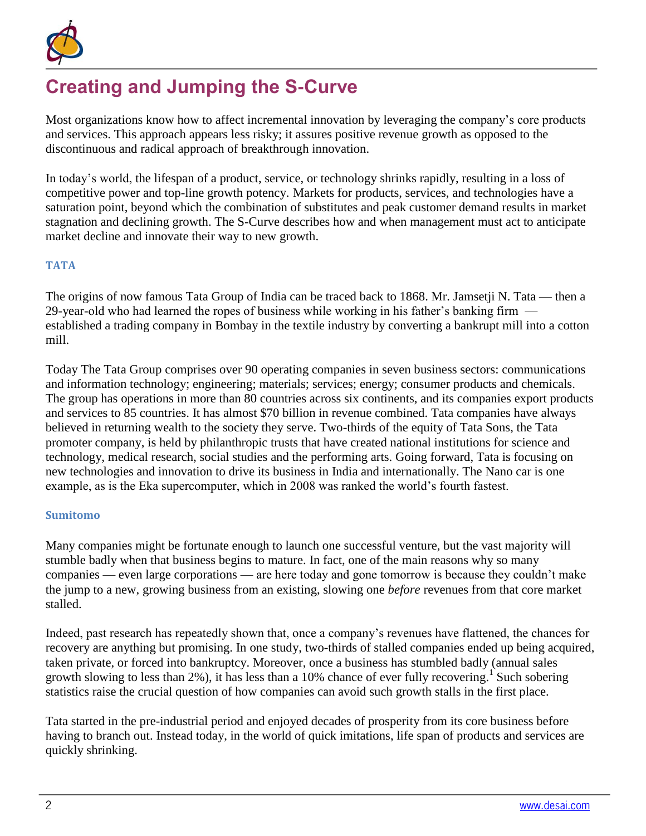

# **Creating and Jumping the S-Curve**

Most organizations know how to affect incremental innovation by leveraging the company's core products and services. This approach appears less risky; it assures positive revenue growth as opposed to the discontinuous and radical approach of breakthrough innovation.

In today's world, the lifespan of a product, service, or technology shrinks rapidly, resulting in a loss of competitive power and top-line growth potency. Markets for products, services, and technologies have a saturation point, beyond which the combination of substitutes and peak customer demand results in market stagnation and declining growth. The S-Curve describes how and when management must act to anticipate market decline and innovate their way to new growth.

## **TATA**

The origins of now famous Tata Group of India can be traced back to 1868. Mr. Jamsetji N. Tata — then a 29-year-old who had learned the ropes of business while working in his father's banking firm established a trading company in Bombay in the textile industry by converting a bankrupt mill into a cotton mill.

Today The Tata Group comprises over 90 operating companies in seven business sectors: communications and information technology; engineering; materials; services; energy; consumer products and chemicals. The group has operations in more than 80 countries across six continents, and its companies export products and services to 85 countries. It has almost \$70 billion in revenue combined. Tata companies have always believed in returning wealth to the society they serve. Two-thirds of the equity of Tata Sons, the Tata promoter company, is held by philanthropic trusts that have created national institutions for science and technology, medical research, social studies and the performing arts. Going forward, Tata is focusing on new technologies and innovation to drive its business in India and internationally. The Nano car is one example, as is the Eka supercomputer, which in 2008 was ranked the world's fourth fastest.

## **Sumitomo**

Many companies might be fortunate enough to launch one successful venture, but the vast majority will stumble badly when that business begins to mature. In fact, one of the main reasons why so many companies — even large corporations — are here today and gone tomorrow is because they couldn't make the jump to a new, growing business from an existing, slowing one *before* revenues from that core market stalled.

Indeed, past research has repeatedly shown that, once a company's revenues have flattened, the chances for recovery are anything but promising. In one study, two-thirds of stalled companies ended up being acquired, taken private, or forced into bankruptcy. Moreover, once a business has stumbled badly (annual sales growth slowing to less than 2%), it has less than a 10% chance of ever fully recovering.<sup>1</sup> Such sobering statistics raise the crucial question of how companies can avoid such growth stalls in the first place.

Tata started in the pre-industrial period and enjoyed decades of prosperity from its core business before having to branch out. Instead today, in the world of quick imitations, life span of products and services are quickly shrinking.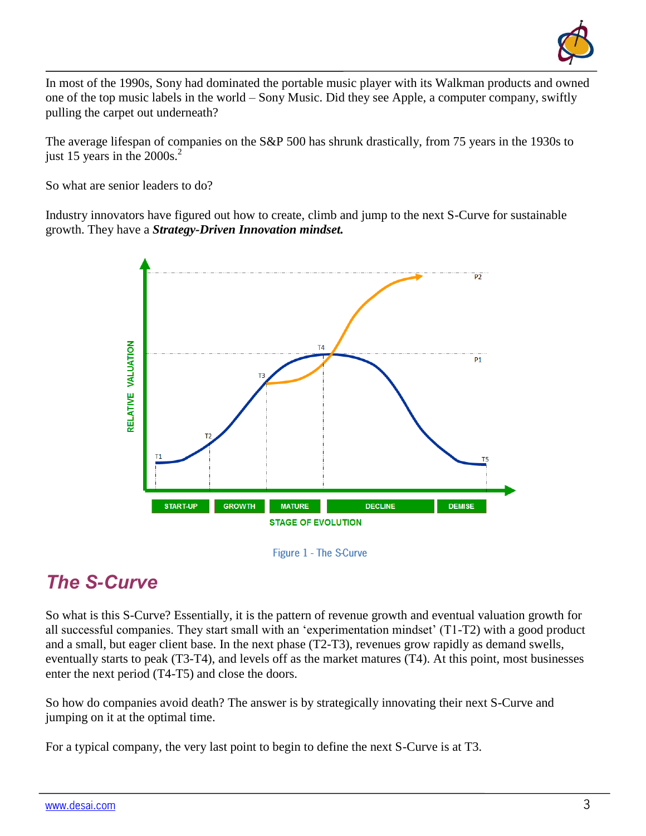

In most of the 1990s, Sony had dominated the portable music player with its Walkman products and owned one of the top music labels in the world – Sony Music. Did they see Apple, a computer company, swiftly pulling the carpet out underneath?

The average lifespan of companies on the S&P 500 has shrunk drastically, from 75 years in the 1930s to just 15 years in the 2000s. 2

So what are senior leaders to do?

Industry innovators have figured out how to create, climb and jump to the next S-Curve for sustainable growth. They have a *Strategy-Driven Innovation mindset.*



Figure 1 - The S-Curve

# *The S-Curve*

So what is this S-Curve? Essentially, it is the pattern of revenue growth and eventual valuation growth for all successful companies. They start small with an 'experimentation mindset' (T1-T2) with a good product and a small, but eager client base. In the next phase (T2-T3), revenues grow rapidly as demand swells, eventually starts to peak (T3-T4), and levels off as the market matures (T4). At this point, most businesses enter the next period (T4-T5) and close the doors.

So how do companies avoid death? The answer is by strategically innovating their next S-Curve and jumping on it at the optimal time.

For a typical company, the very last point to begin to define the next S-Curve is at T3.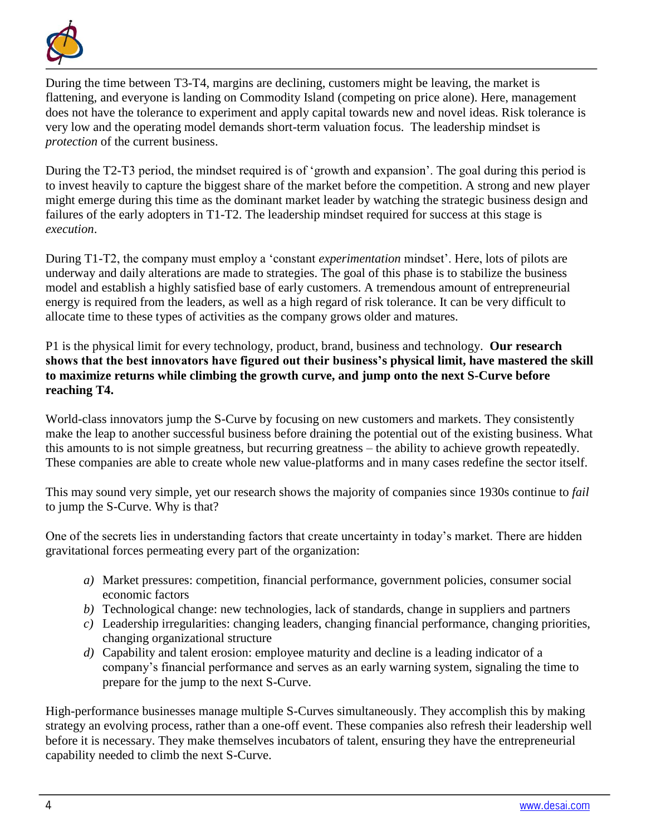

During the time between T3-T4, margins are declining, customers might be leaving, the market is flattening, and everyone is landing on Commodity Island (competing on price alone). Here, management does not have the tolerance to experiment and apply capital towards new and novel ideas. Risk tolerance is very low and the operating model demands short-term valuation focus. The leadership mindset is *protection* of the current business.

During the T2-T3 period, the mindset required is of 'growth and expansion'. The goal during this period is to invest heavily to capture the biggest share of the market before the competition. A strong and new player might emerge during this time as the dominant market leader by watching the strategic business design and failures of the early adopters in T1-T2. The leadership mindset required for success at this stage is *execution*.

During T1-T2, the company must employ a 'constant *experimentation* mindset'. Here, lots of pilots are underway and daily alterations are made to strategies. The goal of this phase is to stabilize the business model and establish a highly satisfied base of early customers. A tremendous amount of entrepreneurial energy is required from the leaders, as well as a high regard of risk tolerance. It can be very difficult to allocate time to these types of activities as the company grows older and matures.

P1 is the physical limit for every technology, product, brand, business and technology. **Our research shows that the best innovators have figured out their business's physical limit, have mastered the skill to maximize returns while climbing the growth curve, and jump onto the next S-Curve before reaching T4.**

World-class innovators jump the S-Curve by focusing on new customers and markets. They consistently make the leap to another successful business before draining the potential out of the existing business. What this amounts to is not simple greatness, but recurring greatness – the ability to achieve growth repeatedly. These companies are able to create whole new value-platforms and in many cases redefine the sector itself.

This may sound very simple, yet our research shows the majority of companies since 1930s continue to *fail* to jump the S-Curve. Why is that?

One of the secrets lies in understanding factors that create uncertainty in today's market. There are hidden gravitational forces permeating every part of the organization:

- *a)* Market pressures: competition, financial performance, government policies, consumer social economic factors
- *b)* Technological change: new technologies, lack of standards, change in suppliers and partners
- *c)* Leadership irregularities: changing leaders, changing financial performance, changing priorities, changing organizational structure
- *d)* Capability and talent erosion: employee maturity and decline is a leading indicator of a company's financial performance and serves as an early warning system, signaling the time to prepare for the jump to the next S-Curve.

High-performance businesses manage multiple S-Curves simultaneously. They accomplish this by making strategy an evolving process, rather than a one-off event. These companies also refresh their leadership well before it is necessary. They make themselves incubators of talent, ensuring they have the entrepreneurial capability needed to climb the next S-Curve.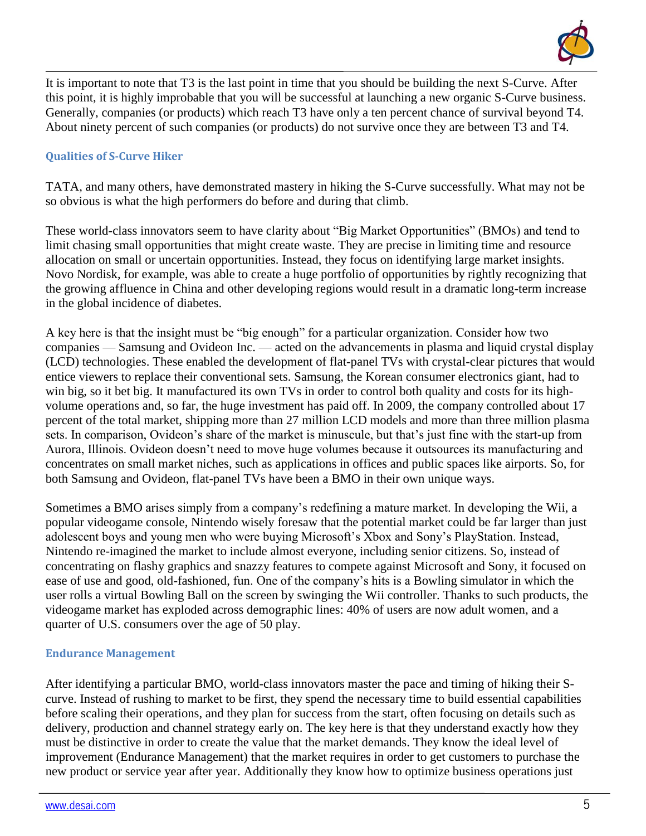

It is important to note that T3 is the last point in time that you should be building the next S-Curve. After this point, it is highly improbable that you will be successful at launching a new organic S-Curve business. Generally, companies (or products) which reach T3 have only a ten percent chance of survival beyond T4. About ninety percent of such companies (or products) do not survive once they are between T3 and T4.

# **Qualities of S-Curve Hiker**

TATA, and many others, have demonstrated mastery in hiking the S-Curve successfully. What may not be so obvious is what the high performers do before and during that climb.

These world-class innovators seem to have clarity about "Big Market Opportunities" (BMOs) and tend to limit chasing small opportunities that might create waste. They are precise in limiting time and resource allocation on small or uncertain opportunities. Instead, they focus on identifying large market insights. Novo Nordisk, for example, was able to create a huge portfolio of opportunities by rightly recognizing that the growing affluence in China and other developing regions would result in a dramatic long-term increase in the global incidence of diabetes.

A key here is that the insight must be "big enough" for a particular organization. Consider how two companies — Samsung and Ovideon Inc. — acted on the advancements in plasma and liquid crystal display (LCD) technologies. These enabled the development of flat-panel TVs with crystal-clear pictures that would entice viewers to replace their conventional sets. Samsung, the Korean consumer electronics giant, had to win big, so it bet big. It manufactured its own TVs in order to control both quality and costs for its highvolume operations and, so far, the huge investment has paid off. In 2009, the company controlled about 17 percent of the total market, shipping more than 27 million LCD models and more than three million plasma sets. In comparison, Ovideon's share of the market is minuscule, but that's just fine with the start-up from Aurora, Illinois. Ovideon doesn't need to move huge volumes because it outsources its manufacturing and concentrates on small market niches, such as applications in offices and public spaces like airports. So, for both Samsung and Ovideon, flat-panel TVs have been a BMO in their own unique ways.

Sometimes a BMO arises simply from a company's redefining a mature market. In developing the Wii, a popular videogame console, Nintendo wisely foresaw that the potential market could be far larger than just adolescent boys and young men who were buying Microsoft's Xbox and Sony's PlayStation. Instead, Nintendo re-imagined the market to include almost everyone, including senior citizens. So, instead of concentrating on flashy graphics and snazzy features to compete against Microsoft and Sony, it focused on ease of use and good, old-fashioned, fun. One of the company's hits is a Bowling simulator in which the user rolls a virtual Bowling Ball on the screen by swinging the Wii controller. Thanks to such products, the videogame market has exploded across demographic lines: 40% of users are now adult women, and a quarter of U.S. consumers over the age of 50 play.

#### **Endurance Management**

After identifying a particular BMO, world-class innovators master the pace and timing of hiking their Scurve. Instead of rushing to market to be first, they spend the necessary time to build essential capabilities before scaling their operations, and they plan for success from the start, often focusing on details such as delivery, production and channel strategy early on. The key here is that they understand exactly how they must be distinctive in order to create the value that the market demands. They know the ideal level of improvement (Endurance Management) that the market requires in order to get customers to purchase the new product or service year after year. Additionally they know how to optimize business operations just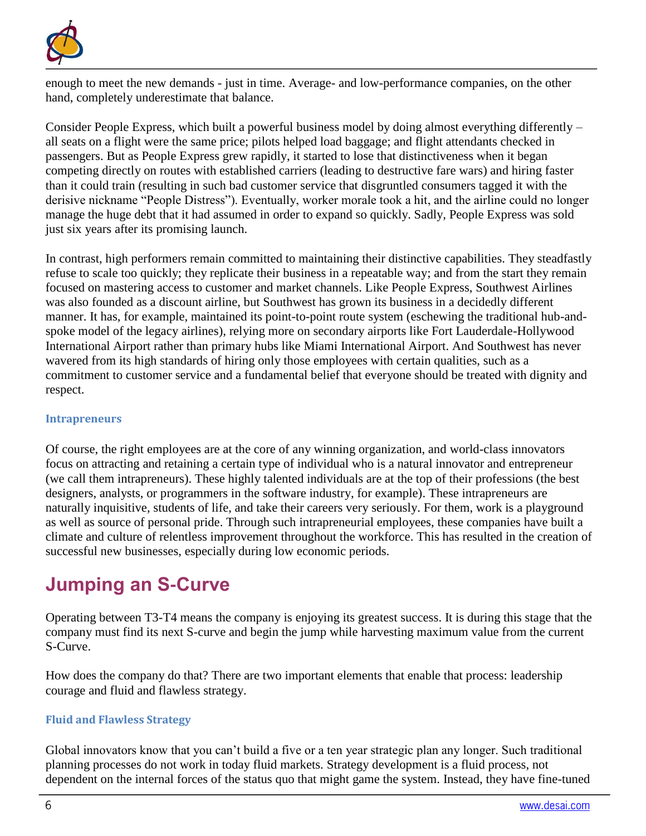

enough to meet the new demands - just in time. Average- and low-performance companies, on the other hand, completely underestimate that balance.

Consider People Express, which built a powerful business model by doing almost everything differently – all seats on a flight were the same price; pilots helped load baggage; and flight attendants checked in passengers. But as People Express grew rapidly, it started to lose that distinctiveness when it began competing directly on routes with established carriers (leading to destructive fare wars) and hiring faster than it could train (resulting in such bad customer service that disgruntled consumers tagged it with the derisive nickname "People Distress"). Eventually, worker morale took a hit, and the airline could no longer manage the huge debt that it had assumed in order to expand so quickly. Sadly, People Express was sold just six years after its promising launch.

In contrast, high performers remain committed to maintaining their distinctive capabilities. They steadfastly refuse to scale too quickly; they replicate their business in a repeatable way; and from the start they remain focused on mastering access to customer and market channels. Like People Express, Southwest Airlines was also founded as a discount airline, but Southwest has grown its business in a decidedly different manner. It has, for example, maintained its point-to-point route system (eschewing the traditional hub-andspoke model of the legacy airlines), relying more on secondary airports like Fort Lauderdale-Hollywood International Airport rather than primary hubs like Miami International Airport. And Southwest has never wavered from its high standards of hiring only those employees with certain qualities, such as a commitment to customer service and a fundamental belief that everyone should be treated with dignity and respect.

### **Intrapreneurs**

Of course, the right employees are at the core of any winning organization, and world-class innovators focus on attracting and retaining a certain type of individual who is a natural innovator and entrepreneur (we call them intrapreneurs). These highly talented individuals are at the top of their professions (the best designers, analysts, or programmers in the software industry, for example). These intrapreneurs are naturally inquisitive, students of life, and take their careers very seriously. For them, work is a playground as well as source of personal pride. Through such intrapreneurial employees, these companies have built a climate and culture of relentless improvement throughout the workforce. This has resulted in the creation of successful new businesses, especially during low economic periods.

# **Jumping an S-Curve**

Operating between T3-T4 means the company is enjoying its greatest success. It is during this stage that the company must find its next S-curve and begin the jump while harvesting maximum value from the current S-Curve.

How does the company do that? There are two important elements that enable that process: leadership courage and fluid and flawless strategy.

## **Fluid and Flawless Strategy**

Global innovators know that you can't build a five or a ten year strategic plan any longer. Such traditional planning processes do not work in today fluid markets. Strategy development is a fluid process, not dependent on the internal forces of the status quo that might game the system. Instead, they have fine-tuned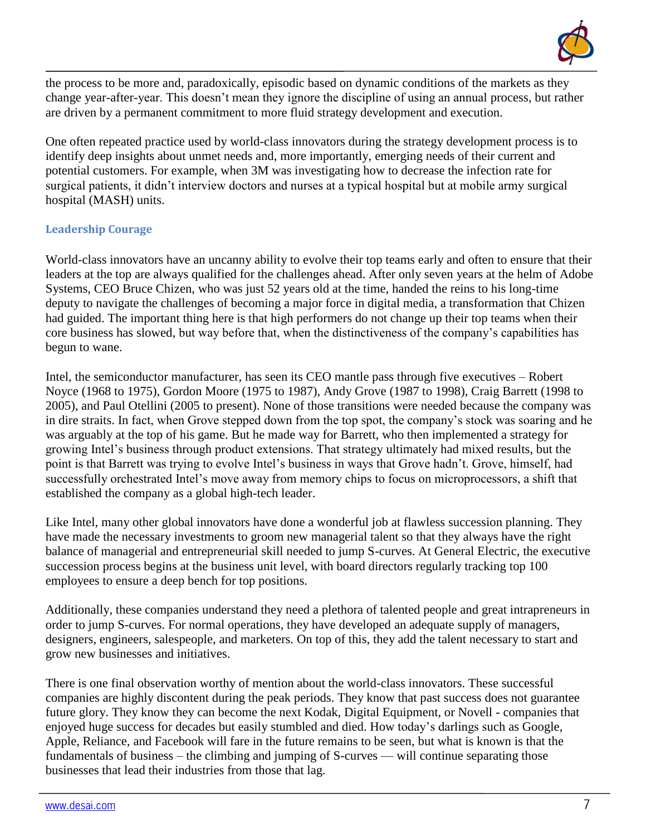

the process to be more and, paradoxically, episodic based on dynamic conditions of the markets as they change year-after-year. This doesn't mean they ignore the discipline of using an annual process, but rather are driven by a permanent commitment to more fluid strategy development and execution.

One often repeated practice used by world-class innovators during the strategy development process is to identify deep insights about unmet needs and, more importantly, emerging needs of their current and potential customers. For example, when 3M was investigating how to decrease the infection rate for surgical patients, it didn't interview doctors and nurses at a typical hospital but at mobile army surgical hospital (MASH) units.

## **Leadership Courage**

World-class innovators have an uncanny ability to evolve their top teams early and often to ensure that their leaders at the top are always qualified for the challenges ahead. After only seven years at the helm of Adobe Systems, CEO Bruce Chizen, who was just 52 years old at the time, handed the reins to his long-time deputy to navigate the challenges of becoming a major force in digital media, a transformation that Chizen had guided. The important thing here is that high performers do not change up their top teams when their core business has slowed, but way before that, when the distinctiveness of the company's capabilities has begun to wane.

Intel, the semiconductor manufacturer, has seen its CEO mantle pass through five executives – Robert Noyce (1968 to 1975), Gordon Moore (1975 to 1987), Andy Grove (1987 to 1998), Craig Barrett (1998 to 2005), and Paul Otellini (2005 to present). None of those transitions were needed because the company was in dire straits. In fact, when Grove stepped down from the top spot, the company's stock was soaring and he was arguably at the top of his game. But he made way for Barrett, who then implemented a strategy for growing Intel's business through product extensions. That strategy ultimately had mixed results, but the point is that Barrett was trying to evolve Intel's business in ways that Grove hadn't. Grove, himself, had successfully orchestrated Intel's move away from memory chips to focus on microprocessors, a shift that established the company as a global high-tech leader.

Like Intel, many other global innovators have done a wonderful job at flawless succession planning. They have made the necessary investments to groom new managerial talent so that they always have the right balance of managerial and entrepreneurial skill needed to jump S-curves. At General Electric, the executive succession process begins at the business unit level, with board directors regularly tracking top 100 employees to ensure a deep bench for top positions.

Additionally, these companies understand they need a plethora of talented people and great intrapreneurs in order to jump S-curves. For normal operations, they have developed an adequate supply of managers, designers, engineers, salespeople, and marketers. On top of this, they add the talent necessary to start and grow new businesses and initiatives.

There is one final observation worthy of mention about the world-class innovators. These successful companies are highly discontent during the peak periods. They know that past success does not guarantee future glory. They know they can become the next Kodak, Digital Equipment, or Novell - companies that enjoyed huge success for decades but easily stumbled and died. How today's darlings such as Google, Apple, Reliance, and Facebook will fare in the future remains to be seen, but what is known is that the fundamentals of business – the climbing and jumping of S-curves — will continue separating those businesses that lead their industries from those that lag.